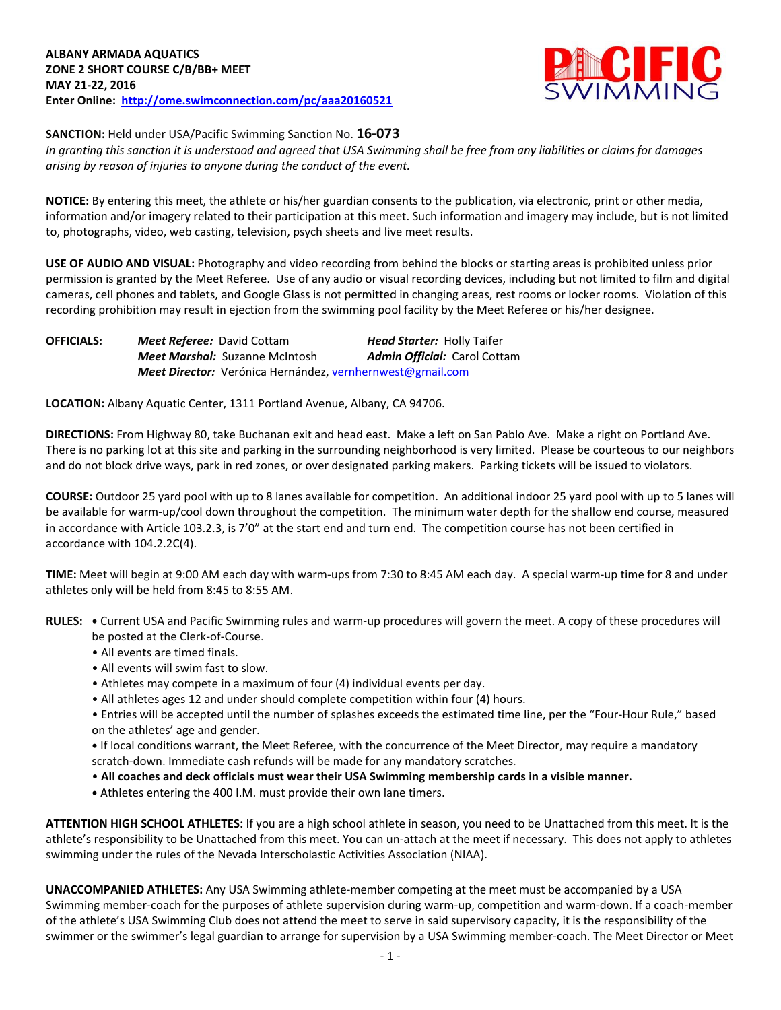

**SANCTION:** Held under USA/Pacific Swimming Sanction No. **16-073**

*In granting this sanction it is understood and agreed that USA Swimming shall be free from any liabilities or claims for damages arising by reason of injuries to anyone during the conduct of the event.*

**NOTICE:** By entering this meet, the athlete or his/her guardian consents to the publication, via electronic, print or other media, information and/or imagery related to their participation at this meet. Such information and imagery may include, but is not limited to, photographs, video, web casting, television, psych sheets and live meet results.

**USE OF AUDIO AND VISUAL:** Photography and video recording from behind the blocks or starting areas is prohibited unless prior permission is granted by the Meet Referee. Use of any audio or visual recording devices, including but not limited to film and digital cameras, cell phones and tablets, and Google Glass is not permitted in changing areas, rest rooms or locker rooms. Violation of this recording prohibition may result in ejection from the swimming pool facility by the Meet Referee or his/her designee.

**OFFICIALS:** *Meet Referee:* David Cottam *Head Starter:* Holly Taifer *Meet Marshal:* Suzanne McIntosh *Admin Official:* Carol Cottam *Meet Director:* Verónica Hernández[, vernhernwest@gmail.com](mailto:vernhernwest@gmail.com)

**LOCATION:** Albany Aquatic Center, 1311 Portland Avenue, Albany, CA 94706.

**DIRECTIONS:** From Highway 80, take Buchanan exit and head east. Make a left on San Pablo Ave. Make a right on Portland Ave. There is no parking lot at this site and parking in the surrounding neighborhood is very limited. Please be courteous to our neighbors and do not block drive ways, park in red zones, or over designated parking makers. Parking tickets will be issued to violators.

**COURSE:** Outdoor 25 yard pool with up to 8 lanes available for competition.An additional indoor 25 yard pool with up to 5 lanes will be available for warm-up/cool down throughout the competition. The minimum water depth for the shallow end course, measured in accordance with Article 103.2.3, is 7'0" at the start end and turn end. The competition course has not been certified in accordance with 104.2.2C(4).

**TIME:** Meet will begin at 9:00 AM each day with warm-ups from 7:30 to 8:45 AM each day. A special warm-up time for 8 and under athletes only will be held from 8:45 to 8:55 AM.

- **RULES: •** Current USA and Pacific Swimming rules and warm-up procedures will govern the meet. A copy of these procedures will be posted at the Clerk-of-Course.
	- All events are timed finals.
	- All events will swim fast to slow.
	- Athletes may compete in a maximum of four (4) individual events per day.
	- All athletes ages 12 and under should complete competition within four (4) hours.

• Entries will be accepted until the number of splashes exceeds the estimated time line, per the "Four-Hour Rule," based on the athletes' age and gender.

**•** If local conditions warrant, the Meet Referee, with the concurrence of the Meet Director, may require a mandatory scratch-down. Immediate cash refunds will be made for any mandatory scratches.

- **All coaches and deck officials must wear their USA Swimming membership cards in a visible manner.**
- **•** Athletes entering the 400 I.M. must provide their own lane timers.

**ATTENTION HIGH SCHOOL ATHLETES:** If you are a high school athlete in season, you need to be Unattached from this meet. It is the athlete's responsibility to be Unattached from this meet. You can un-attach at the meet if necessary. This does not apply to athletes swimming under the rules of the Nevada Interscholastic Activities Association (NIAA).

**UNACCOMPANIED ATHLETES:** Any USA Swimming athlete-member competing at the meet must be accompanied by a USA Swimming member-coach for the purposes of athlete supervision during warm-up, competition and warm-down. If a coach-member of the athlete's USA Swimming Club does not attend the meet to serve in said supervisory capacity, it is the responsibility of the swimmer or the swimmer's legal guardian to arrange for supervision by a USA Swimming member-coach. The Meet Director or Meet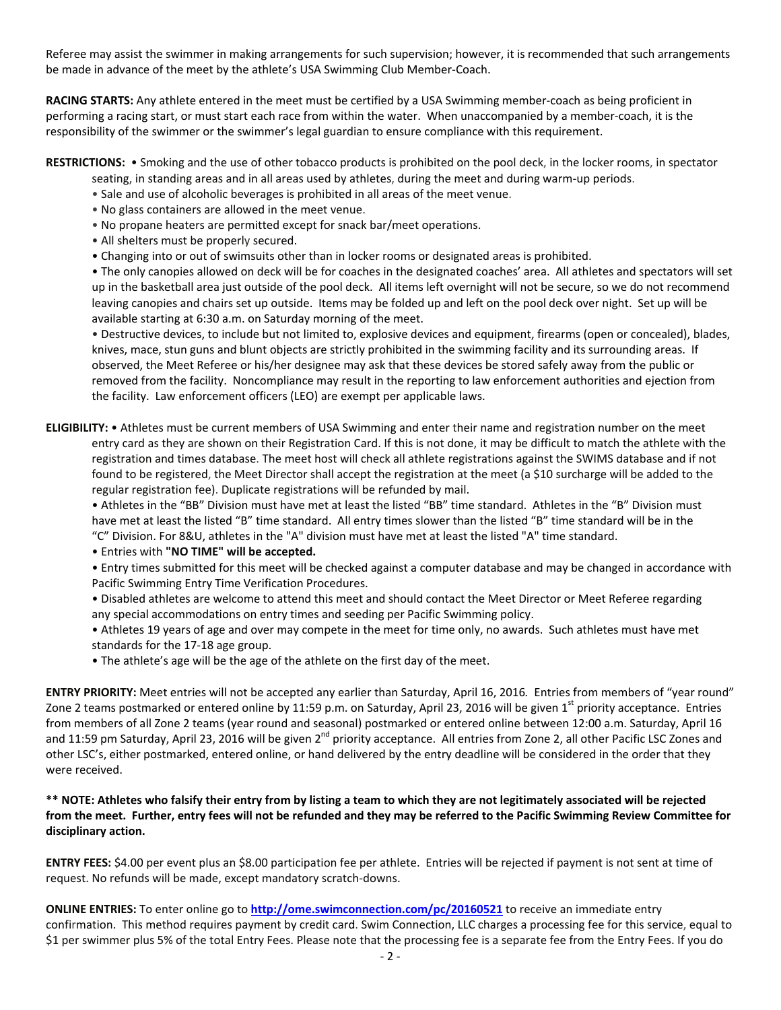Referee may assist the swimmer in making arrangements for such supervision; however, it is recommended that such arrangements be made in advance of the meet by the athlete's USA Swimming Club Member-Coach.

**RACING STARTS:** Any athlete entered in the meet must be certified by a USA Swimming member-coach as being proficient in performing a racing start, or must start each race from within the water. When unaccompanied by a member-coach, it is the responsibility of the swimmer or the swimmer's legal guardian to ensure compliance with this requirement.

#### **RESTRICTIONS:** • Smoking and the use of other tobacco products is prohibited on the pool deck, in the locker rooms, in spectator seating, in standing areas and in all areas used by athletes, during the meet and during warm-up periods.

- Sale and use of alcoholic beverages is prohibited in all areas of the meet venue.
- No glass containers are allowed in the meet venue.
- No propane heaters are permitted except for snack bar/meet operations.
- All shelters must be properly secured.
- Changing into or out of swimsuits other than in locker rooms or designated areas is prohibited.

• The only canopies allowed on deck will be for coaches in the designated coaches' area. All athletes and spectators will set up in the basketball area just outside of the pool deck. All items left overnight will not be secure, so we do not recommend leaving canopies and chairs set up outside. Items may be folded up and left on the pool deck over night. Set up will be available starting at 6:30 a.m. on Saturday morning of the meet.

• Destructive devices, to include but not limited to, explosive devices and equipment, firearms (open or concealed), blades, knives, mace, stun guns and blunt objects are strictly prohibited in the swimming facility and its surrounding areas. If observed, the Meet Referee or his/her designee may ask that these devices be stored safely away from the public or removed from the facility. Noncompliance may result in the reporting to law enforcement authorities and ejection from the facility. Law enforcement officers (LEO) are exempt per applicable laws.

# **ELIGIBILITY:** • Athletes must be current members of USA Swimming and enter their name and registration number on the meet entry card as they are shown on their Registration Card. If this is not done, it may be difficult to match the athlete with the registration and times database. The meet host will check all athlete registrations against the SWIMS database and if not found to be registered, the Meet Director shall accept the registration at the meet (a \$10 surcharge will be added to the regular registration fee). Duplicate registrations will be refunded by mail.

• Athletes in the "BB" Division must have met at least the listed "BB" time standard. Athletes in the "B" Division must have met at least the listed "B" time standard. All entry times slower than the listed "B" time standard will be in the "C" Division. For 8&U, athletes in the "A" division must have met at least the listed "A" time standard.

• Entries with **"NO TIME" will be accepted.**

• Entry times submitted for this meet will be checked against a computer database and may be changed in accordance with Pacific Swimming Entry Time Verification Procedures.

- Disabled athletes are welcome to attend this meet and should contact the Meet Director or Meet Referee regarding any special accommodations on entry times and seeding per Pacific Swimming policy.
- Athletes 19 years of age and over may compete in the meet for time only, no awards. Such athletes must have met standards for the 17-18 age group.
- The athlete's age will be the age of the athlete on the first day of the meet.

**ENTRY PRIORITY:** Meet entries will not be accepted any earlier than Saturday, April 16, 2016*.* Entries from members of "year round" Zone 2 teams postmarked or entered online by 11:59 p.m. on Saturday, April 23, 2016 will be given 1<sup>st</sup> priority acceptance. Entries from members of all Zone 2 teams (year round and seasonal) postmarked or entered online between 12:00 a.m. Saturday, April 16 and 11:59 pm Saturday, April 23, 2016 will be given  $2^{nd}$  priority acceptance. All entries from Zone 2, all other Pacific LSC Zones and other LSC's, either postmarked, entered online, or hand delivered by the entry deadline will be considered in the order that they were received.

# **\*\* NOTE: Athletes who falsify their entry from by listing a team to which they are not legitimately associated will be rejected from the meet. Further, entry fees will not be refunded and they may be referred to the Pacific Swimming Review Committee for disciplinary action.**

**ENTRY FEES:** \$4.00 per event plus an \$8.00 participation fee per athlete. Entries will be rejected if payment is not sent at time of request. No refunds will be made, except mandatory scratch-downs.

**ONLINE ENTRIES:** To enter online go to **<http://ome.swimconnection.com/pc/20160521>** to receive an immediate entry confirmation. This method requires payment by credit card. Swim Connection, LLC charges a processing fee for this service, equal to \$1 per swimmer plus 5% of the total Entry Fees. Please note that the processing fee is a separate fee from the Entry Fees. If you do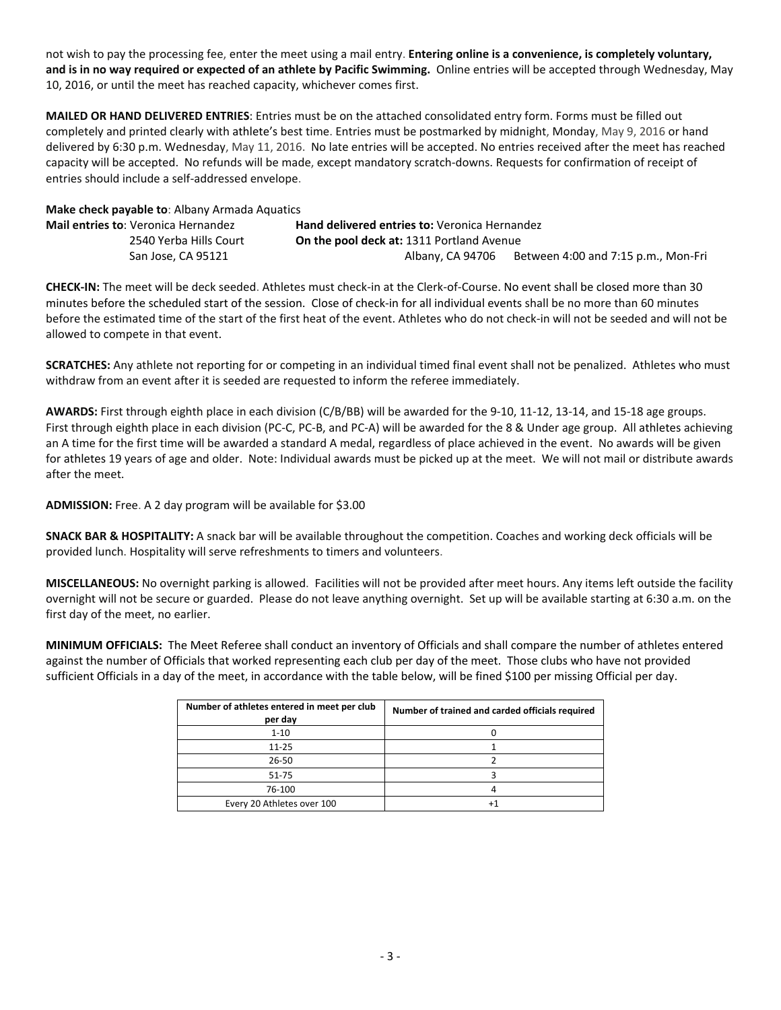not wish to pay the processing fee, enter the meet using a mail entry. **Entering online is a convenience, is completely voluntary, and is in no way required or expected of an athlete by Pacific Swimming.** Online entries will be accepted through Wednesday, May 10, 2016, or until the meet has reached capacity, whichever comes first.

**MAILED OR HAND DELIVERED ENTRIES**: Entries must be on the attached consolidated entry form. Forms must be filled out completely and printed clearly with athlete's best time. Entries must be postmarked by midnight, Monday, May 9, 2016 or hand delivered by 6:30 p.m. Wednesday, May 11, 2016. No late entries will be accepted. No entries received after the meet has reached capacity will be accepted. No refunds will be made, except mandatory scratch-downs. Requests for confirmation of receipt of entries should include a self-addressed envelope.

#### **Make check payable to**: Albany Armada Aquatics

| Mail entries to: Veronica Hernandez | <b>Hand delivered entries to: Veronica Hernandez</b> |                                     |
|-------------------------------------|------------------------------------------------------|-------------------------------------|
| 2540 Yerba Hills Court              | <b>On the pool deck at: 1311 Portland Avenue</b>     |                                     |
| San Jose, CA 95121                  | Albany, CA 94706                                     | Between 4:00 and 7:15 p.m., Mon-Fri |

**CHECK-IN:** The meet will be deck seeded. Athletes must check-in at the Clerk-of-Course. No event shall be closed more than 30 minutes before the scheduled start of the session. Close of check-in for all individual events shall be no more than 60 minutes before the estimated time of the start of the first heat of the event. Athletes who do not check-in will not be seeded and will not be allowed to compete in that event.

**SCRATCHES:** Any athlete not reporting for or competing in an individual timed final event shall not be penalized. Athletes who must withdraw from an event after it is seeded are requested to inform the referee immediately.

**AWARDS:** First through eighth place in each division (C/B/BB) will be awarded for the 9-10, 11-12, 13-14, and 15-18 age groups. First through eighth place in each division (PC-C, PC-B, and PC-A) will be awarded for the 8 & Under age group. All athletes achieving an A time for the first time will be awarded a standard A medal, regardless of place achieved in the event. No awards will be given for athletes 19 years of age and older. Note: Individual awards must be picked up at the meet. We will not mail or distribute awards after the meet.

### **ADMISSION:** Free. A 2 day program will be available for \$3.00

**SNACK BAR & HOSPITALITY:** A snack bar will be available throughout the competition. Coaches and working deck officials will be provided lunch. Hospitality will serve refreshments to timers and volunteers.

**MISCELLANEOUS:** No overnight parking is allowed. Facilities will not be provided after meet hours. Any items left outside the facility overnight will not be secure or guarded. Please do not leave anything overnight. Set up will be available starting at 6:30 a.m. on the first day of the meet, no earlier.

**MINIMUM OFFICIALS:** The Meet Referee shall conduct an inventory of Officials and shall compare the number of athletes entered against the number of Officials that worked representing each club per day of the meet. Those clubs who have not provided sufficient Officials in a day of the meet, in accordance with the table below, will be fined \$100 per missing Official per day.

| Number of athletes entered in meet per club<br>per day | Number of trained and carded officials required |
|--------------------------------------------------------|-------------------------------------------------|
| $1 - 10$                                               |                                                 |
| $11 - 25$                                              |                                                 |
| $26 - 50$                                              |                                                 |
| $51 - 75$                                              |                                                 |
| 76-100                                                 |                                                 |
| Every 20 Athletes over 100                             |                                                 |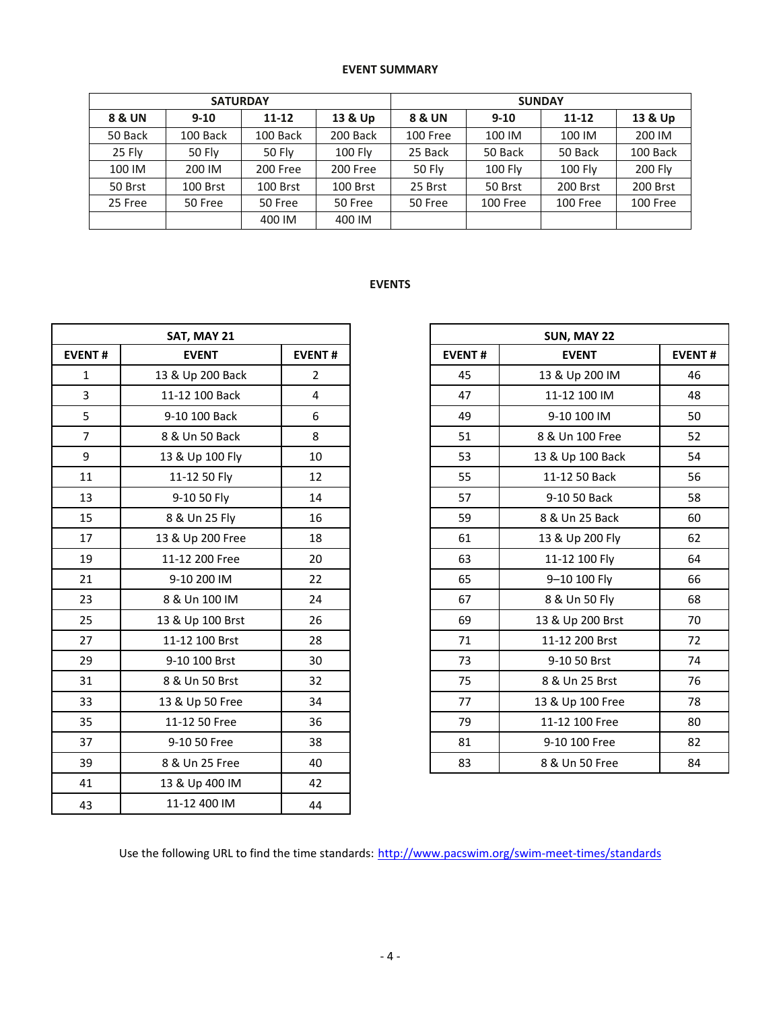# **EVENT SUMMARY**

|         | <b>SATURDAY</b>  |           |                | <b>SUNDAY</b>     |          |                |          |  |  |  |
|---------|------------------|-----------|----------------|-------------------|----------|----------------|----------|--|--|--|
| 8 & UN  | $9 - 10$         | $11 - 12$ | 13 & Up        | <b>8 &amp; UN</b> | $9 - 10$ | $11 - 12$      | 13 & Up  |  |  |  |
| 50 Back | 100 Back         | 100 Back  | 200 Back       | 100 Free          | 100 IM   | 100 IM         | 200 IM   |  |  |  |
| 25 Fly  | 50 Fly           | 50 Fly    | <b>100 Fly</b> | 25 Back           | 50 Back  | 50 Back        | 100 Back |  |  |  |
| 100 IM  | 200 IM           | 200 Free  | 200 Free       | 50 Fly            | 100 Fly  | <b>100 Fly</b> | 200 Fly  |  |  |  |
| 50 Brst | 100 Brst         | 100 Brst  | 100 Brst       | 25 Brst           | 50 Brst  | 200 Brst       | 200 Brst |  |  |  |
| 25 Free | 50 Free          | 50 Free   | 50 Free        | 50 Free           | 100 Free | 100 Free       | 100 Free |  |  |  |
|         | 400 IM<br>400 IM |           |                |                   |          |                |          |  |  |  |

# **EVENTS**

| SAT, MAY 21    |                  |                |  |  |
|----------------|------------------|----------------|--|--|
| <b>EVENT#</b>  | <b>EVENT</b>     | <b>EVENT#</b>  |  |  |
| $\mathbf{1}$   | 13 & Up 200 Back | $\overline{2}$ |  |  |
| $\overline{3}$ | 11-12 100 Back   | $\overline{4}$ |  |  |
| 5              | 9-10 100 Back    | 6              |  |  |
| $\overline{7}$ | 8 & Un 50 Back   | 8              |  |  |
| 9              | 13 & Up 100 Fly  | 10             |  |  |
| 11             | 11-12 50 Fly     | 12             |  |  |
| 13             | 9-10 50 Fly      | 14             |  |  |
| 15             | 8 & Un 25 Fly    | 16             |  |  |
| 17             | 13 & Up 200 Free | 18             |  |  |
| 19             | 11-12 200 Free   | 20             |  |  |
| 21             | 9-10 200 IM      | 22             |  |  |
| 23             | 8 & Un 100 IM    | 24             |  |  |
| 25             | 13 & Up 100 Brst | 26             |  |  |
| 27             | 11-12 100 Brst   | 28             |  |  |
| 29             | 9-10 100 Brst    | 30             |  |  |
| 31             | 8 & Un 50 Brst   | 32             |  |  |
| 33             | 13 & Up 50 Free  | 34             |  |  |
| 35             | 11-12 50 Free    | 36             |  |  |
| 37             | 9-10 50 Free     | 38             |  |  |
| 39             | 8 & Un 25 Free   | 40             |  |  |
| 41             | 13 & Up 400 IM   | 42             |  |  |
| 43             | 11-12 400 IM     | 44             |  |  |

|                 | SAT, MAY 21      |                |
|-----------------|------------------|----------------|
| NT#             | <b>EVENT</b>     | <b>EVENT#</b>  |
| $\mathbf{1}$    | 13 & Up 200 Back | $\overline{2}$ |
| 3               | 11-12 100 Back   | 4              |
| 5               | 9-10 100 Back    | 6              |
| $\overline{7}$  | 8 & Un 50 Back   | 8              |
| 9               | 13 & Up 100 Fly  | 10             |
| $\overline{1}$  | 11-12 50 Fly     | 12             |
| L3              | 9-10 50 Fly      | 14             |
| L5              | 8 & Un 25 Fly    | 16             |
| L7              | 13 & Up 200 Free | 18             |
| L9              | 11-12 200 Free   | 20             |
| $^{21}$         | 9-10 200 IM      | 22             |
| 23              | 8 & Un 100 IM    | 24             |
| $25 -$          | 13 & Up 100 Brst | 26             |
| 27              | 11-12 100 Brst   | 28             |
| 29              | 9-10 100 Brst    | 30             |
| 31              | 8 & Un 50 Brst   | 32             |
| 33              | 13 & Up 50 Free  | 34             |
| 35 <sub>1</sub> | 11-12 50 Free    | 36             |
| 37              | 9-10 50 Free     | 38             |
| 39              | 8 & Un 25 Free   | 40             |

Use the following URL to find the time standards: <http://www.pacswim.org/swim-meet-times/standards>